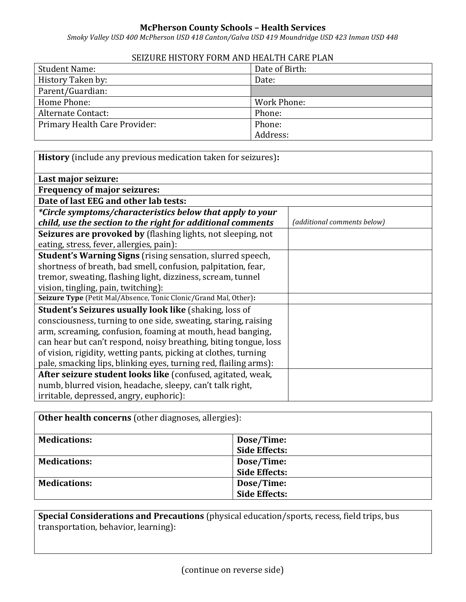## **McPherson County Schools – Health Services**

*Smoky Valley USD 400 McPherson USD 418 Canton/Galva USD 419 Moundridge USD 423 Inman USD 448*

## SEIZURE HISTORY FORM AND HEALTH CARE PLAN

| <b>Student Name:</b>          | Date of Birth: |
|-------------------------------|----------------|
| History Taken by:             | Date:          |
| Parent/Guardian:              |                |
| Home Phone:                   | Work Phone:    |
| Alternate Contact:            | Phone:         |
| Primary Health Care Provider: | Phone:         |
|                               | Address:       |

| <b>History</b> (include any previous medication taken for seizures): |                             |  |  |  |
|----------------------------------------------------------------------|-----------------------------|--|--|--|
| Last major seizure:                                                  |                             |  |  |  |
| <b>Frequency of major seizures:</b>                                  |                             |  |  |  |
| Date of last EEG and other lab tests:                                |                             |  |  |  |
| *Circle symptoms/characteristics below that apply to your            |                             |  |  |  |
| child, use the section to the right for additional comments          | (additional comments below) |  |  |  |
| Seizures are provoked by (flashing lights, not sleeping, not         |                             |  |  |  |
| eating, stress, fever, allergies, pain):                             |                             |  |  |  |
| <b>Student's Warning Signs</b> (rising sensation, slurred speech,    |                             |  |  |  |
| shortness of breath, bad smell, confusion, palpitation, fear,        |                             |  |  |  |
| tremor, sweating, flashing light, dizziness, scream, tunnel          |                             |  |  |  |
| vision, tingling, pain, twitching):                                  |                             |  |  |  |
| Seizure Type (Petit Mal/Absence, Tonic Clonic/Grand Mal, Other):     |                             |  |  |  |
| <b>Student's Seizures usually look like (shaking, loss of</b>        |                             |  |  |  |
| consciousness, turning to one side, sweating, staring, raising       |                             |  |  |  |
| arm, screaming, confusion, foaming at mouth, head banging,           |                             |  |  |  |
| can hear but can't respond, noisy breathing, biting tongue, loss     |                             |  |  |  |
| of vision, rigidity, wetting pants, picking at clothes, turning      |                             |  |  |  |
| pale, smacking lips, blinking eyes, turning red, flailing arms):     |                             |  |  |  |
| After seizure student looks like (confused, agitated, weak,          |                             |  |  |  |
| numb, blurred vision, headache, sleepy, can't talk right,            |                             |  |  |  |
| irritable, depressed, angry, euphoric):                              |                             |  |  |  |

| <b>Other health concerns</b> (other diagnoses, allergies): |                      |  |  |
|------------------------------------------------------------|----------------------|--|--|
| <b>Medications:</b>                                        | Dose/Time:           |  |  |
|                                                            | <b>Side Effects:</b> |  |  |
| <b>Medications:</b>                                        | Dose/Time:           |  |  |
|                                                            | <b>Side Effects:</b> |  |  |
| <b>Medications:</b>                                        | Dose/Time:           |  |  |
|                                                            | <b>Side Effects:</b> |  |  |

**Special Considerations and Precautions** (physical education/sports, recess, field trips, bus transportation, behavior, learning):